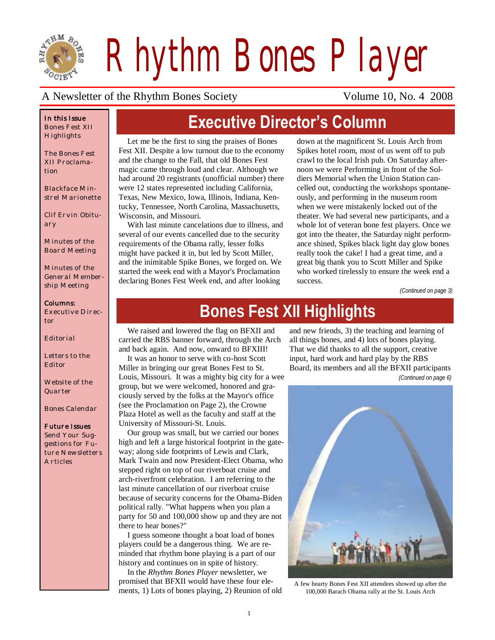

*Rhythm Bones Player*

#### A Newsletter of the Rhythm Bones Society Volume 10, No. 4 2008

#### *In this Issue Bones Fest XII Highlights*

*The Bones Fest XII Proclamation*

*Blackface Minstrel Marionette*

*Clif Ervin Obituary*

*Minutes of the Board Meeting*

*Minutes of the General Membership Meeting*

#### *Columns:*

*Executive Director*

*Editorial*

*Letters to the Editor*

*Website of the Quarter*

*Bones Calendar*

#### *Future Issues*

*Send Your Suggestions for Future Newsletters Articles*

# **Executive Director's Column**

Let me be the first to sing the praises of Bones Fest XII. Despite a low turnout due to the economy and the change to the Fall, that old Bones Fest magic came through loud and clear. Although we had around 20 registrants (unofficial number) there were 12 states represented including California, Texas, New Mexico, Iowa, Illinois, Indiana, Kentucky, Tennessee, North Carolina, Massachusetts, Wisconsin, and Missouri.

With last minute cancelations due to illness, and several of our events cancelled due to the security requirements of the Obama rally, lesser folks might have packed it in, but led by Scott Miller, and the inimitable Spike Bones, we forged on. We started the week end with a Mayor's Proclamation declaring Bones Fest Week end, and after looking

down at the magnificent St. Louis Arch from Spikes hotel room, most of us went off to pub crawl to the local Irish pub. On Saturday afternoon we were Performing in front of the Soldiers Memorial when the Union Station cancelled out, conducting the workshops spontaneously, and performing in the museum room when we were mistakenly locked out of the theater. We had several new participants, and a whole lot of veteran bone fest players. Once we got into the theater, the Saturday night performance shined, Spikes black light day glow bones really took the cake! I had a great time, and a great big thank you to Scott Miller and Spike who worked tirelessly to ensure the week end a success.

*(Continued on page 3)*

# **Bones Fest XII Highlights**

We raised and lowered the flag on BFXII and carried the RBS banner forward, through the Arch and back again. And now, onward to BFXIII!

It was an honor to serve with co-host Scott Miller in bringing our great Bones Fest to St. Louis, Missouri. It was a mighty big city for a wee group, but we were welcomed, honored and graciously served by the folks at the Mayor's office (see the Proclamation on Page 2), the Crowne Plaza Hotel as well as the faculty and staff at the University of Missouri-St. Louis.

Our group was small, but we carried our bones high and left a large historical footprint in the gateway; along side footprints of Lewis and Clark, Mark Twain and now President-Elect Obama, who stepped right on top of our riverboat cruise and arch-riverfront celebration. I am referring to the last minute cancellation of our riverboat cruise because of security concerns for the Obama-Biden political rally. "What happens when you plan a party for 50 and 100,000 show up and they are not there to hear bones?"

I guess someone thought a boat load of bones players could be a dangerous thing. We are reminded that rhythm bone playing is a part of our history and continues on in spite of history.

In the *Rhythm Bones Player* newsletter, we promised that BFXII would have these four elements, 1) Lots of bones playing, 2) Reunion of old

and new friends, 3) the teaching and learning of all things bones, and 4) lots of bones playing. That we did thanks to all the support, creative input, hard work and hard play by the RBS Board, its members and all the BFXII participants *(Continued on page 6)*



A few hearty Bones Fest XII attendees showed up after the 100,000 Barach Obama rally at the St. Louis Arch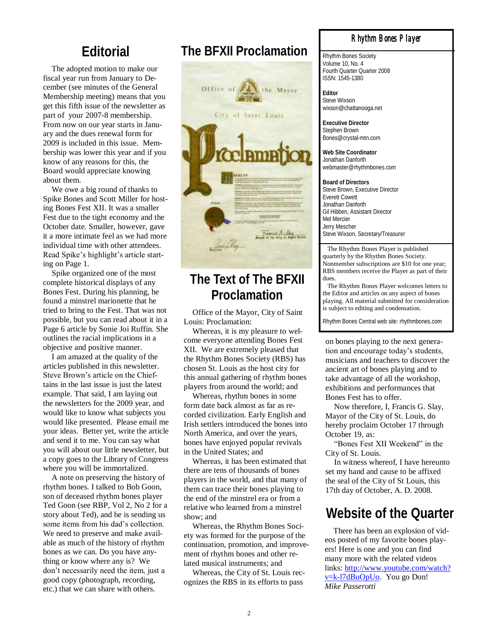The adopted motion to make our fiscal year run from January to December (see minutes of the General Membership meeting) means that you get this fifth issue of the newsletter as part of your 2007-8 membership. From now on our year starts in January and the dues renewal form for 2009 is included in this issue. Membership was lower this year and if you know of any reasons for this, the Board would appreciate knowing about them.

We owe a big round of thanks to Spike Bones and Scott Miller for hosting Bones Fest XII. It was a smaller Fest due to the tight economy and the October date. Smaller, however, gave it a more intimate feel as we had more individual time with other attendees. Read Spike's highlight's article starting on Page 1.

Spike organized one of the most complete historical displays of any Bones Fest. During his planning, he found a minstrel marionette that he tried to bring to the Fest. That was not possible, but you can read about it in a Page 6 article by Sonie Joi Ruffin. She outlines the racial implications in a objective and positive manner.

I am amazed at the quality of the articles published in this newsletter. Steve Brown"s article on the Chieftains in the last issue is just the latest example. That said, I am laying out the newsletters for the 2009 year, and would like to know what subjects you would like presented. Please email me your ideas. Better yet, write the article and send it to me. You can say what you will about our little newsletter, but a copy goes to the Library of Congress where you will be immortalized.

A note on preserving the history of rhythm bones. I talked to Bob Goon, son of deceased rhythm bones player Ted Goon (see RBP, Vol 2, No 2 for a story about Ted), and he is sending us some items from his dad"s collection. We need to preserve and make available as much of the history of rhythm bones as we can. Do you have anything or know where any is? We don"t necessarily need the item, just a good copy (photograph, recording, etc.) that we can share with others.

### **Editorial The BFXII Proclamation**



### **The Text of The BFXII Proclamation**

Office of the Mayor, City of Saint Louis: Proclamation:

Whereas, it is my pleasure to welcome everyone attending Bones Fest XII. We are extremely pleased that the Rhythm Bones Society (RBS) has chosen St. Louis as the host city for this annual gathering of rhythm bones players from around the world; and

Whereas, rhythm bones in some form date back almost as far as recorded civilization. Early English and Irish settlers introduced the bones into North America, and over the years, bones have enjoyed popular revivals in the United States; and

Whereas, it has been estimated that there are tens of thousands of bones players in the world, and that many of them can trace their bones playing to the end of the minstrel era or from a relative who learned from a minstrel show; and

Whereas, the Rhythm Bones Society was formed for the purpose of the continuation, promotion, and improvement of rhythm bones and other related musical instruments; and

Whereas, the City of St. Louis recognizes the RBS in its efforts to pass

#### *Rhythm Bones Player*

Rhythm Bones Society Volume 10, No. 4 Fourth Quarter Quarter 2008 ISSN: 1545-1380

**Editor** Steve Wixson wixson@chattanooga.net

**Executive Director** Stephen Brown Bones@crystal-mtn.com

**Web Site Coordinator** Jonathan Danforth webmaster@rhythmbones.com

**Board of Directors** Steve Brown, Executive Director Everett Cowett Jonathan Danforth Gil Hibben, Assistant Director Mel Mercier Jerry Mescher Steve Wixson, Secretary/Treasurer

 The Rhythm Bones Player is published quarterly by the Rhythm Bones Society. Nonmember subscriptions are \$10 for one year; RBS members receive the Player as part of their dues.

 The Rhythm Bones Player welcomes letters to the Editor and articles on any aspect of bones playing. All material submitted for consideration is subject to editing and condensation.

Rhythm Bones Central web site: rhythmbones.com

on bones playing to the next generation and encourage today"s students, musicians and teachers to discover the ancient art of bones playing and to take advantage of all the workshop, exhibitions and performances that Bones Fest has to offer.

Now therefore, I, Francis G. Slay, Mayor of the City of St. Louis, do hereby proclaim October 17 through October 19, as:

"Bones Fest XII Weekend" in the City of St. Louis.

In witness whereof, I have hereunto set my hand and cause to be affixed the seal of the City of St Louis, this 17th day of October, A. D. 2008.

### **Website of the Quarter**

There has been an explosion of videos posted of my favorite bones players! Here is one and you can find many more with the related videos links: [http://www.youtube.com/watch?](http://www.youtube.com/watch?v=k-l7dBuOpUo) [v=k-l7dBuOpUo.](http://www.youtube.com/watch?v=k-l7dBuOpUo) You go Don! *Mike Passerotti*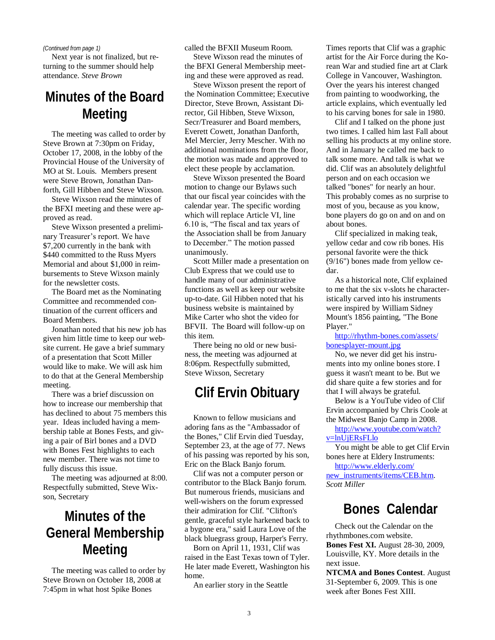#### *(Continued from page 1)*

Next year is not finalized, but returning to the summer should help attendance. *Steve Brown*

### **Minutes of the Board Meeting**

The meeting was called to order by Steve Brown at 7:30pm on Friday, October 17, 2008, in the lobby of the Provincial House of the University of MO at St. Louis. Members present were Steve Brown, Jonathan Danforth, Gill Hibben and Steve Wixson.

Steve Wixson read the minutes of the BFXI meeting and these were approved as read.

Steve Wixson presented a preliminary Treasurer's report. We have \$7,200 currently in the bank with \$440 committed to the Russ Myers Memorial and about \$1,000 in reimbursements to Steve Wixson mainly for the newsletter costs.

The Board met as the Nominating Committee and recommended continuation of the current officers and Board Members.

Jonathan noted that his new job has given him little time to keep our website current. He gave a brief summary of a presentation that Scott Miller would like to make. We will ask him to do that at the General Membership meeting.

There was a brief discussion on how to increase our membership that has declined to about 75 members this year. Ideas included having a membership table at Bones Fests, and giving a pair of Birl bones and a DVD with Bones Fest highlights to each new member. There was not time to fully discuss this issue.

The meeting was adjourned at 8:00. Respectfully submitted, Steve Wixson, Secretary

## **Minutes of the General Membership Meeting**

The meeting was called to order by Steve Brown on October 18, 2008 at 7:45pm in what host Spike Bones

called the BFXII Museum Room.

Steve Wixson read the minutes of the BFXI General Membership meeting and these were approved as read.

Steve Wixson present the report of the Nomination Committee; Executive Director, Steve Brown, Assistant Director, Gil Hibben, Steve Wixson, Secr/Treasurer and Board members, Everett Cowett, Jonathan Danforth, Mel Mercier, Jerry Mescher. With no additional nominations from the floor, the motion was made and approved to elect these people by acclamation.

Steve Wixson presented the Board motion to change our Bylaws such that our fiscal year coincides with the calendar year. The specific wording which will replace Article VI, line 6.10 is, "The fiscal and tax years of the Association shall be from January to December." The motion passed unanimously.

Scott Miller made a presentation on Club Express that we could use to handle many of our administrative functions as well as keep our website up-to-date. Gil Hibben noted that his business website is maintained by Mike Carter who shot the video for BFVII. The Board will follow-up on this item.

There being no old or new business, the meeting was adjourned at 8:06pm. Respectfully submitted, Steve Wixson, Secretary

### **Clif Ervin Obituary**

Known to fellow musicians and adoring fans as the "Ambassador of the Bones," Clif Ervin died Tuesday, September 23, at the age of 77. News of his passing was reported by his son, Eric on the Black Banjo forum.

Clif was not a computer person or contributor to the Black Banjo forum. But numerous friends, musicians and well-wishers on the forum expressed their admiration for Clif. "Clifton's gentle, graceful style harkened back to a bygone era," said Laura Love of the black bluegrass group, Harper's Ferry.

Born on April 11, 1931, Clif was raised in the East Texas town of Tyler. He later made Everett, Washington his home.

An earlier story in the Seattle

Times reports that Clif was a graphic artist for the Air Force during the Korean War and studied fine art at Clark College in Vancouver, Washington. Over the years his interest changed from painting to woodworking, the article explains, which eventually led to his carving bones for sale in 1980.

Clif and I talked on the phone just two times. I called him last Fall about selling his products at my online store. And in January he called me back to talk some more. And talk is what we did. Clif was an absolutely delightful person and on each occasion we talked "bones" for nearly an hour. This probably comes as no surprise to most of you, because as you know, bone players do go on and on and on about bones.

Clif specialized in making teak, yellow cedar and cow rib bones. His personal favorite were the thick (9/16") bones made from yellow cedar.

As a historical note, Clif explained to me that the six v-slots he characteristically carved into his instruments were inspired by William Sidney Mount's 1856 painting, "The Bone Player."

[http://rhythm-bones.com/assets/](http://rhythm-bones.com/assets/bonesplayer-mount.jpg) [bonesplayer-mount.jpg](http://rhythm-bones.com/assets/bonesplayer-mount.jpg)

No, we never did get his instruments into my online bones store. I guess it wasn't meant to be. But we did share quite a few stories and for that I will always be grateful.

Below is a YouTube video of Clif Ervin accompanied by Chris Coole at the Midwest Banjo Camp in 2008.

[http://www.youtube.com/watch?](http://www.youtube.com/watch?v=lnUjERsFLlo) [v=lnUjERsFLlo](http://www.youtube.com/watch?v=lnUjERsFLlo)

You might be able to get Clif Ervin bones here at Eldery Instruments:

[http://www.elderly.com/](http://www.elderly.com/new_instruments/items/CEB.htm) [new\\_instruments/items/CEB.htm.](http://www.elderly.com/new_instruments/items/CEB.htm) *Scott Miller*

### **Bones Calendar**

Check out the Calendar on the rhythmbones.com website. **Bones Fest XI.** August 28-30, 2009, Louisville, KY. More details in the next issue.

**NTCMA and Bones Contest**. August 31-September 6, 2009. This is one week after Bones Fest XIII.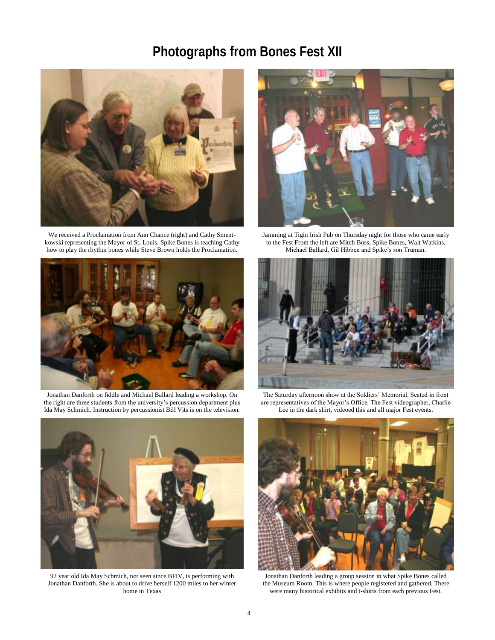## **Photographs from Bones Fest XII**



We received a Proclamation from Ann Chance (right) and Cathy Smentkowski representing the Mayor of St. Louis. Spike Bones is teaching Cathy how to play the rhythm bones while Steve Brown holds the Proclamation.



Jonathan Danforth on fiddle and Michael Ballard leading a workshop. On the right are three students from the university's percussion department plus Ida May Schmich. Instruction by percussionist Bill Vits is on the television.



92 year old Ida May Schmich, not seen since BFIV, is performing with Jonathan Danforth. She is about to drive herself 1200 miles to her winter home in Texas



Jamming at Tigin Irish Pub on Thursday night for those who came early to the Fest From the left are Mitch Boss, Spike Bones, Walt Watkins, Michael Ballard, Gil Hibben and Spike"s son Truman.



The Saturday afternoon show at the Soldiers" Memorial. Seated in front are representatives of the Mayor"s Office. The Fest videographer, Charlie Lee in the dark shirt, videoed this and all major Fest events.



Jonathan Danforth leading a group session in what Spike Bones called the Museum Room. This is where people registered and gathered. There were many historical exhibits and t-shirts from each previous Fest.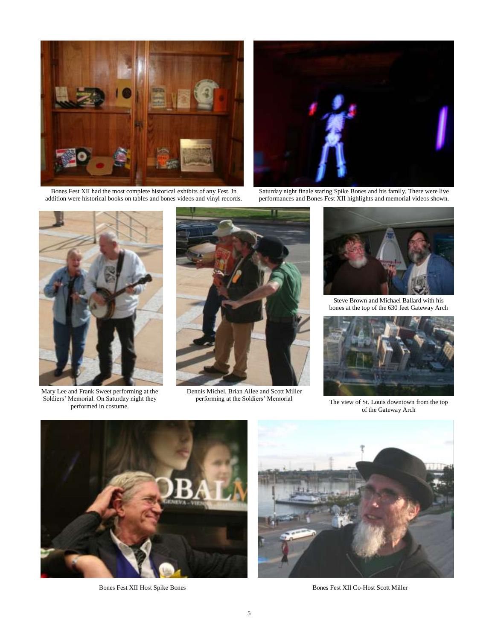

Bones Fest XII had the most complete historical exhibits of any Fest. In addition were historical books on tables and bones videos and vinyl records.



Saturday night finale staring Spike Bones and his family. There were live performances and Bones Fest XII highlights and memorial videos shown.



Mary Lee and Frank Sweet performing at the Soldiers' Memorial. On Saturday night they performed in costume.



Dennis Michel, Brian Allee and Scott Miller performing at the Soldiers' Memorial



Steve Brown and Michael Ballard with his bones at the top of the 630 feet Gateway Arch



The view of St. Louis downtown from the top of the Gateway Arch





Bones Fest XII Host Spike Bones Bones Fest XII Co-Host Scott Miller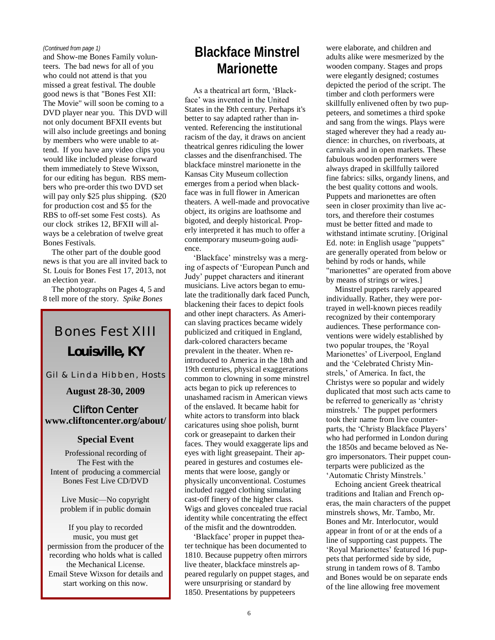#### *(Continued from page 1)*

and Show-me Bones Family volunteers. The bad news for all of you who could not attend is that you missed a great festival. The double good news is that "Bones Fest XII: The Movie" will soon be coming to a DVD player near you. This DVD will not only document BFXII events but will also include greetings and boning by members who were unable to attend. If you have any video clips you would like included please forward them immediately to Steve Wixson, for our editing has begun. RBS members who pre-order this two DVD set will pay only \$25 plus shipping. (\$20 for production cost and \$5 for the RBS to off-set some Fest costs). As our clock strikes 12, BFXII will always be a celebration of twelve great Bones Festivals.

The other part of the double good news is that you are all invited back to St. Louis for Bones Fest 17, 2013, not an election year.

The photographs on Pages 4, 5 and 8 tell more of the story. *Spike Bones*

# Bones Fest XIII **Louisville, KY**

Gil & Linda Hibben, Hosts

#### **August 28-30, 2009**

#### **Clifton Center www.cliftoncenter.org/about/**

#### **Special Event**

Professional recording of The Fest with the Intent of producing a commercial Bones Fest Live CD/DVD

Live Music—No copyright problem if in public domain

If you play to recorded music, you must get permission from the producer of the recording who holds what is called the Mechanical License. Email Steve Wixson for details and start working on this now.

# **Blackface Minstrel Marionette**

As a theatrical art form, "Blackface" was invented in the United States in the l9th century. Perhaps it's better to say adapted rather than invented. Referencing the institutional racism of the day, it draws on ancient theatrical genres ridiculing the lower classes and the disenfranchised. The blackface minstrel marionette in the Kansas City Museum collection emerges from a period when blackface was in full flower in American theaters. A well-made and provocative object, its origins are loathsome and bigoted, and deeply historical. Properly interpreted it has much to offer a contemporary museum-going audience.

"Blackface" minstrelsy was a merging of aspects of "European Punch and Judy" puppet characters and itinerant musicians. Live actors began to emulate the traditionally dark faced Punch, blackening their faces to depict fools and other inept characters. As American slaving practices became widely publicized and critiqued in England, dark-colored characters became prevalent in the theater. When reintroduced to America in the 18th and 19th centuries, physical exaggerations common to clowning in some minstrel acts began to pick up references to unashamed racism in American views of the enslaved. It became habit for white actors to transform into black caricatures using shoe polish, burnt cork or greasepaint to darken their faces. They would exaggerate lips and eyes with light greasepaint. Their appeared in gestures and costumes elements that were loose, gangly or physically unconventional. Costumes included ragged clothing simulating cast-off finery of the higher class. Wigs and gloves concealed true racial identity while concentrating the effect of the misfit and the downtrodden.

"Blackface" proper in puppet theater technique has been documented to 1810. Because puppetry often mirrors live theater, blackface minstrels appeared regularly on puppet stages, and were unsurprising or standard by 1850. Presentations by puppeteers

were elaborate, and children and adults alike were mesmerized by the wooden company. Stages and props were elegantly designed; costumes depicted the period of the script. The timber and cloth performers were skillfully enlivened often by two puppeteers, and sometimes a third spoke and sang from the wings. Plays were staged wherever they had a ready audience: in churches, on riverboats, at carnivals and in open markets. These fabulous wooden performers were always draped in skillfully tailored fine fabrics: silks, organdy linens, and the best quality cottons and wools. Puppets and marionettes are often seen in closer proximity than live actors, and therefore their costumes must be better fitted and made to withstand intimate scrutiny. [Original Ed. note: in English usage "puppets" are generally operated from below or behind by rods or hands, while "marionettes" are operated from above by means of strings or wires.]

Minstrel puppets rarely appeared individually. Rather, they were portrayed in well-known pieces readily recognized by their contemporary audiences. These performance conventions were widely established by two popular troupes, the "Royal Marionettes' of Liverpool, England and the "Celebrated Christy Minstrels," of America. In fact, the Christys were so popular and widely duplicated that most such acts came to be referred to generically as "christy minstrels.' The puppet performers took their name from live counterparts, the 'Christy Blackface Players' who had performed in London during the 1850s and became beloved as Negro impersonators. Their puppet counterparts were publicized as the "Automatic Christy Minstrels."

Echoing ancient Greek theatrical traditions and Italian and French operas, the main characters of the puppet minstrels shows, Mr. Tambo, Mr. Bones and Mr. Interlocutor, would appear in front of or at the ends of a line of supporting cast puppets. The 'Royal Marionettes' featured 16 puppets that performed side by side, strung in tandem rows of 8. Tambo and Bones would be on separate ends of the line allowing free movement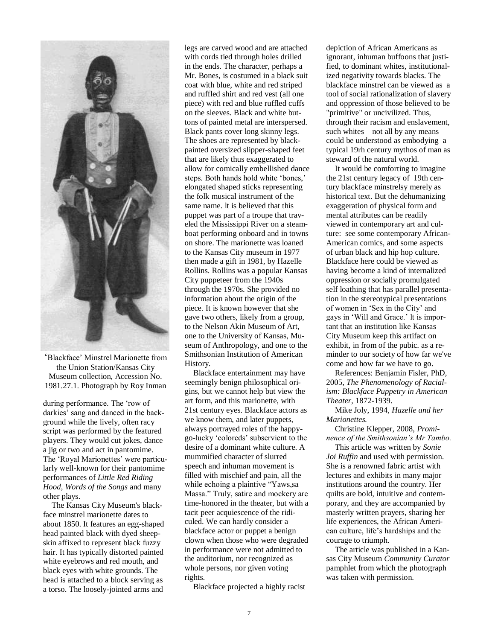

"Blackface" Minstrel Marionette from the Union Station/Kansas City Museum collection, Accession No. 1981.27.1. Photograph by Roy Inman

during performance. The "row of darkies' sang and danced in the background while the lively, often racy script was performed by the featured players. They would cut jokes, dance a jig or two and act in pantomime. The 'Royal Marionettes' were particularly well-known for their pantomime performances of *Little Red Riding Hood, Words of the Songs* and many other plays.

The Kansas City Museum's blackface minstrel marionette dates to about 1850. It features an egg-shaped head painted black with dyed sheepskin affixed to represent black fuzzy hair. It has typically distorted painted white eyebrows and red mouth, and black eyes with white grounds. The head is attached to a block serving as a torso. The loosely-jointed arms and

legs are carved wood and are attached with cords tied through holes drilled in the ends. The character, perhaps a Mr. Bones, is costumed in a black suit coat with blue, white and red striped and ruffled shirt and red vest (all one piece) with red and blue ruffled cuffs on the sleeves. Black and white buttons of painted metal are interspersed. Black pants cover long skinny legs. The shoes are represented by blackpainted oversized slipper-shaped feet that are likely thus exaggerated to allow for comically embellished dance steps. Both hands hold white 'bones,' elongated shaped sticks representing the folk musical instrument of the same name. lt is believed that this puppet was part of a troupe that traveled the Mississippi River on a steamboat performing onboard and in towns on shore. The marionette was loaned to the Kansas City museum in 1977 then made a gift in 1981, by Hazelle Rollins. Rollins was a popular Kansas City puppeteer from the 1940s through the 1970s. She provided no information about the origin of the piece. It is known however that she gave two others, likely from a group, to the Nelson Akin Museum of Art, one to the University of Kansas, Museum of Anthropology, and one to the Smithsonian Institution of American History.

Blackface entertainment may have seemingly benign philosophical origins, but we cannot help but view the art form, and this marionette, with 21st century eyes. Blackface actors as we know them, and later puppets, always portrayed roles of the happygo-lucky "coloreds" subservient to the desire of a dominant white culture. A mummified character of slurred speech and inhuman movement is filled with mischief and pain, all the while echoing a plaintive "Yaws,sa Massa." Truly, satire and mockery are time-honored in the theater, but with a tacit peer acquiescence of the ridiculed. We can hardly consider a blackface actor or puppet a benign clown when those who were degraded in performance were not admitted to the auditorium, nor recognized as whole persons, nor given voting rights.

Blackface projected a highly racist

depiction of African Americans as ignorant, inhuman buffoons that justified, to dominant whites, institutionalized negativity towards blacks. The blackface minstrel can be viewed as a tool of social rationalization of slavery and oppression of those believed to be "primitive" or uncivilized. Thus, through their racism and enslavement, such whites—not all by any means could be understood as embodying a typical 19rh century mythos of man as steward of the natural world.

It would be comforting to imagine the 21st century legacy of 19th century blackface minstrelsy merely as historical text. But the dehumanizing exaggeration of physical form and mental attributes can be readily viewed in contemporary art and culture: see some contemporary African-American comics, and some aspects of urban black and hip hop culture. Blackface here could be viewed as having become a kind of internalized oppression or socially promulgated self loathing that has parallel presentation in the stereotypical presentations of women in "Sex in the City" and gays in "Will and Grace." lt is important that an institution like Kansas City Museum keep this artifact on exhibit, in from of the pubic. as a reminder to our society of how far we've come and how far we have to go.

References: Benjamin Fisler, PhD, 2005, *The Phenomenology of Racialism: Blackface Puppetry in American Theater,* 1872-1939.

Mike Joly, 1994*, Hazelle and her Marionettes.*

Christine Klepper, 2008, *Prominence of the Smithsonian's Mr Tambo.* 

This article was written by *Sonie Joi Ruffin* and used with permission. She is a renowned fabric artist with lectures and exhibits in many major institutions around the country. Her quilts are bold, intuitive and contemporary, and they are accompanied by masterly written prayers, sharing her life experiences, the African American culture, life"s hardships and the courage to triumph.

The article was published in a Kansas City Museum *Community Curator* pamphlet from which the photograph was taken with permission.